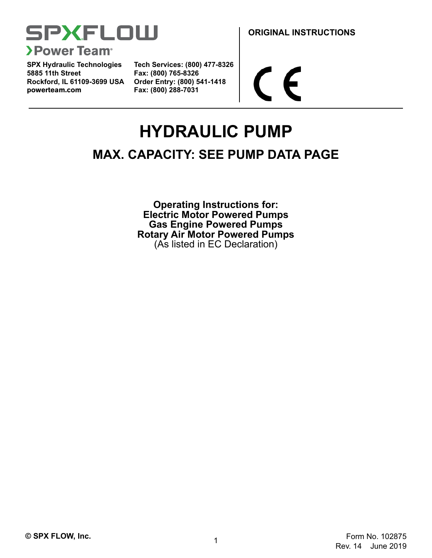

**SPX Hydraulic Technologies 5885 11th Street Rockford, IL 61109-3699 USA powerteam.com Fax: (800) 288-7031**

**Tech Services: (800) 477-8326 Fax: (800) 765-8326 Order Entry: (800) 541-1418**

**ORIGINAL INSTRUCTIONS**

 $\epsilon$ 

# **HYDRAULIC PUMP**

# **MAX. CAPACITY: SEE PUMP DATA PAGE**

**Operating Instructions for: Electric Motor Powered Pumps Gas Engine Powered Pumps Rotary Air Motor Powered Pumps** (As listed in EC Declaration)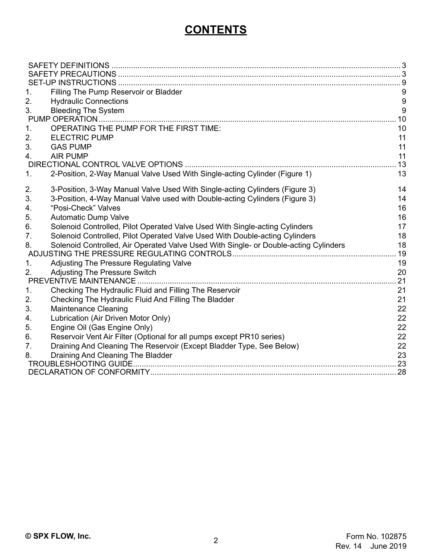# **CONTENTS**

| $1_{-}$        | Filling The Pump Reservoir or Bladder                                                |     |
|----------------|--------------------------------------------------------------------------------------|-----|
| 2.             | <b>Hydraulic Connections</b>                                                         | 9   |
| 3.             | <b>Bleeding The System</b>                                                           | 9   |
|                |                                                                                      | 10  |
| 1.             | <b>OPERATING THE PUMP FOR THE FIRST TIME:</b>                                        | 10  |
| 2.             | <b>ELECTRIC PUMP</b>                                                                 | 11  |
| 3.             | <b>GAS PUMP</b>                                                                      | 11  |
| 4.             | <b>AIR PUMP</b>                                                                      | 11  |
|                |                                                                                      | .13 |
| 1.             | 2-Position, 2-Way Manual Valve Used With Single-acting Cylinder (Figure 1)           | 13  |
| 2.             | 3-Position, 3-Way Manual Valve Used With Single-acting Cylinders (Figure 3)          | 14  |
| 3.             | 3-Position, 4-Way Manual Valve used with Double-acting Cylinders (Figure 3)          | 14  |
| 4.             | "Posi-Check" Valves                                                                  | 16  |
| 5.             | <b>Automatic Dump Valve</b>                                                          | 16  |
| 6.             | Solenoid Controlled, Pilot Operated Valve Used With Single-acting Cylinders          | 17  |
| 7 <sub>1</sub> | Solenoid Controlled, Pilot Operated Valve Used With Double-acting Cylinders          | 18  |
| 8.             | Solenoid Controlled, Air Operated Valve Used With Single- or Double-acting Cylinders | 18  |
|                |                                                                                      | 19  |
| 1.             | Adjusting The Pressure Regulating Valve                                              | 19  |
| 2.             | <b>Adjusting The Pressure Switch</b>                                                 | 20  |
|                |                                                                                      | 21  |
| 1.             | Checking The Hydraulic Fluid and Filling The Reservoir                               | 21  |
| 2.             | Checking The Hydraulic Fluid And Filling The Bladder                                 | 21  |
| 3.             | <b>Maintenance Cleaning</b>                                                          | 22  |
| 4.             | Lubrication (Air Driven Motor Only)                                                  | 22  |
| 5.             | Engine Oil (Gas Engine Only)                                                         | 22  |
| 6.             | Reservoir Vent Air Filter (Optional for all pumps except PR10 series)                | 22  |
| 7 <sub>1</sub> | Draining And Cleaning The Reservoir (Except Bladder Type, See Below)                 | 22  |
| 8.             | Draining And Cleaning The Bladder                                                    | 23  |
|                |                                                                                      | .23 |
|                |                                                                                      | .28 |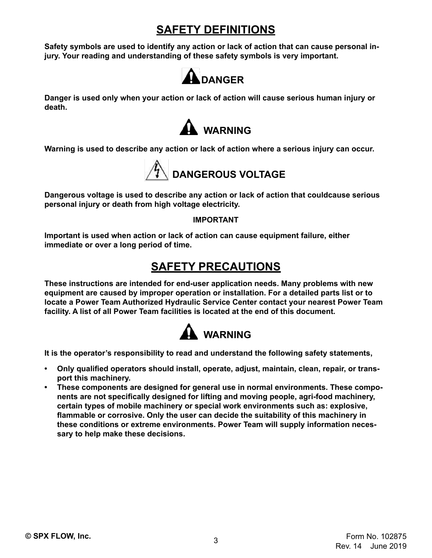# **SAFETY DEFINITIONS**

<span id="page-2-0"></span>**Safety symbols are used to identify any action or lack of action that can cause personal injury. Your reading and understanding of these safety symbols is very important.**



**Danger is used only when your action or lack of action will cause serious human injury or death.**



**Warning is used to describe any action or lack of action where a serious injury can occur.**



**Dangerous voltage is used to describe any action or lack of action that couldcause serious personal injury or death from high voltage electricity.**

### **IMPORTANT**

**Important is used when action or lack of action can cause equipment failure, either immediate or over a long period of time.**

# **SAFETY PRECAUTIONS**

**These instructions are intended for end-user application needs. Many problems with new equipment are caused by improper operation or installation. For a detailed parts list or to locate a Power Team Authorized Hydraulic Service Center contact your nearest Power Team facility. A list of all Power Team facilities is located at the end of this document.**



**It is the operator's responsibility to read and understand the following safety statements,**

- **• Only qualified operators should install, operate, adjust, maintain, clean, repair, or transport this machinery.**
- **• These components are designed for general use in normal environments. These components are not specifically designed for lifting and moving people, agri-food machinery, certain types of mobile machinery or special work environments such as: explosive, flammable or corrosive. Only the user can decide the suitability of this machinery in these conditions or extreme environments. Power Team will supply information necessary to help make these decisions.**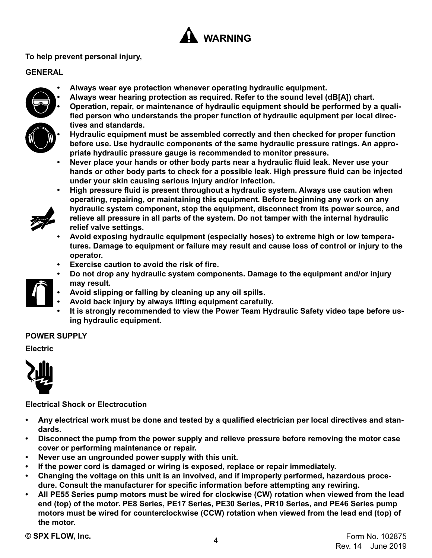

### **To help prevent personal injury,**

**tives and standards.**

### **GENERAL**

- **• Always wear eye protection whenever operating hydraulic equipment.**
- **• Always wear hearing protection as required. Refer to the sound level (dB[A]) chart.**





**• Hydraulic equipment must be assembled correctly and then checked for proper function before use. Use hydraulic components of the same hydraulic pressure ratings. An appropriate hydraulic pressure gauge is recommended to monitor pressure.**

**• Operation, repair, or maintenance of hydraulic equipment should be performed by a qualified person who understands the proper function of hydraulic equipment per local direc-**

**• Never place your hands or other body parts near a hydraulic fluid leak. Never use your hands or other body parts to check for a possible leak. High pressure fluid can be injected under your skin causing serious injury and/or infection.**



- **• High pressure fluid is present throughout a hydraulic system. Always use caution when operating, repairing, or maintaining this equipment. Before beginning any work on any hydraulic system component, stop the equipment, disconnect from its power source, and relieve all pressure in all parts of the system. Do not tamper with the internal hydraulic relief valve settings.**
- **• Avoid exposing hydraulic equipment (especially hoses) to extreme high or low temperatures. Damage to equipment or failure may result and cause loss of control or injury to the operator.**
- **• Exercise caution to avoid the risk of fire.**
- **• Do not drop any hydraulic system components. Damage to the equipment and/or injury may result.**
- **• Avoid slipping or falling by cleaning up any oil spills.**
- **• Avoid back injury by always lifting equipment carefully.**
- **• It is strongly recommended to view the Power Team Hydraulic Safety video tape before using hydraulic equipment.**

### **POWER SUPPLY**

### **Electric**



### **Electrical Shock or Electrocution**

- **• Any electrical work must be done and tested by a qualified electrician per local directives and standards.**
- **• Disconnect the pump from the power supply and relieve pressure before removing the motor case cover or performing maintenance or repair.**
- **• Never use an ungrounded power supply with this unit.**
- **• If the power cord is damaged or wiring is exposed, replace or repair immediately.**
- **• Changing the voltage on this unit is an involved, and if improperly performed, hazardous procedure. Consult the manufacturer for specific information before attempting any rewiring.**
- **• All PE55 Series pump motors must be wired for clockwise (CW) rotation when viewed from the lead end (top) of the motor. PE8 Series, PE17 Series, PE30 Series, PR10 Series, and PE46 Series pump motors must be wired for counterclockwise (CCW) rotation when viewed from the lead end (top) of the motor.**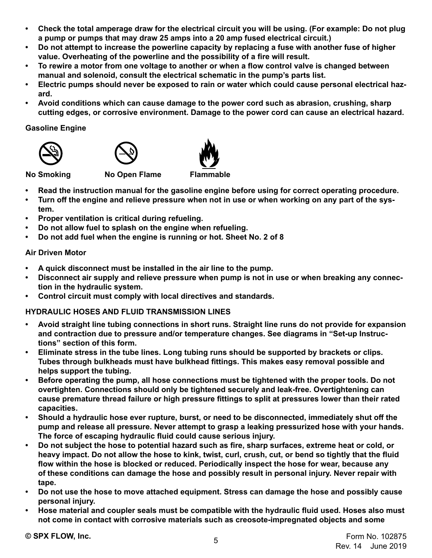- **• Check the total amperage draw for the electrical circuit you will be using. (For example: Do not plug a pump or pumps that may draw 25 amps into a 20 amp fused electrical circuit.)**
- **• Do not attempt to increase the powerline capacity by replacing a fuse with another fuse of higher value. Overheating of the powerline and the possibility of a fire will result.**
- **• To rewire a motor from one voltage to another or when a flow control valve is changed between manual and solenoid, consult the electrical schematic in the pump's parts list.**
- **• Electric pumps should never be exposed to rain or water which could cause personal electrical hazard.**
- **• Avoid conditions which can cause damage to the power cord such as abrasion, crushing, sharp cutting edges, or corrosive environment. Damage to the power cord can cause an electrical hazard.**

### **Gasoline Engine**







**No Smoking No Open Flame Flammable**

- **• Read the instruction manual for the gasoline engine before using for correct operating procedure.**
- **• Turn off the engine and relieve pressure when not in use or when working on any part of the system.**
- **• Proper ventilation is critical during refueling.**
- **• Do not allow fuel to splash on the engine when refueling.**
- **• Do not add fuel when the engine is running or hot. Sheet No. 2 of 8**

### **Air Driven Motor**

- **• A quick disconnect must be installed in the air line to the pump.**
- **• Disconnect air supply and relieve pressure when pump is not in use or when breaking any connection in the hydraulic system.**
- **• Control circuit must comply with local directives and standards.**

### **HYDRAULIC HOSES AND FLUID TRANSMISSION LINES**

- **• Avoid straight line tubing connections in short runs. Straight line runs do not provide for expansion and contraction due to pressure and/or temperature changes. See diagrams in "Set-up Instructions" section of this form.**
- **• Eliminate stress in the tube lines. Long tubing runs should be supported by brackets or clips. Tubes through bulkheads must have bulkhead fittings. This makes easy removal possible and helps support the tubing.**
- **• Before operating the pump, all hose connections must be tightened with the proper tools. Do not overtighten. Connections should only be tightened securely and leak-free. Overtightening can cause premature thread failure or high pressure fittings to split at pressures lower than their rated capacities.**
- **• Should a hydraulic hose ever rupture, burst, or need to be disconnected, immediately shut off the pump and release all pressure. Never attempt to grasp a leaking pressurized hose with your hands. The force of escaping hydraulic fluid could cause serious injury.**
- **• Do not subject the hose to potential hazard such as fire, sharp surfaces, extreme heat or cold, or heavy impact. Do not allow the hose to kink, twist, curl, crush, cut, or bend so tightly that the fluid flow within the hose is blocked or reduced. Periodically inspect the hose for wear, because any of these conditions can damage the hose and possibly result in personal injury. Never repair with tape.**
- **• Do not use the hose to move attached equipment. Stress can damage the hose and possibly cause personal injury.**
- **• Hose material and coupler seals must be compatible with the hydraulic fluid used. Hoses also must not come in contact with corrosive materials such as creosote-impregnated objects and some**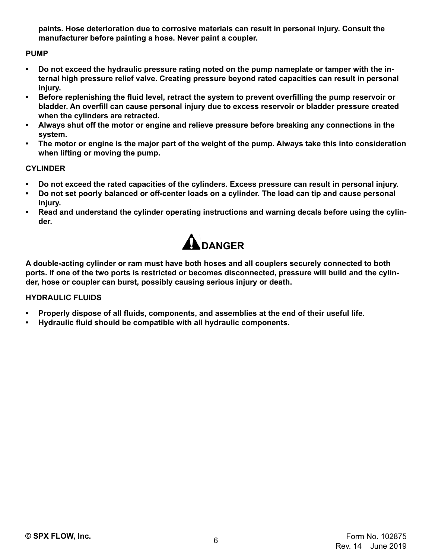**paints. Hose deterioration due to corrosive materials can result in personal injury. Consult the manufacturer before painting a hose. Never paint a coupler.**

### **PUMP**

- **• Do not exceed the hydraulic pressure rating noted on the pump nameplate or tamper with the internal high pressure relief valve. Creating pressure beyond rated capacities can result in personal injury.**
- **• Before replenishing the fluid level, retract the system to prevent overfilling the pump reservoir or bladder. An overfill can cause personal injury due to excess reservoir or bladder pressure created when the cylinders are retracted.**
- **• Always shut off the motor or engine and relieve pressure before breaking any connections in the system.**
- **• The motor or engine is the major part of the weight of the pump. Always take this into consideration when lifting or moving the pump.**

### **CYLINDER**

- **• Do not exceed the rated capacities of the cylinders. Excess pressure can result in personal injury.**
- **• Do not set poorly balanced or off-center loads on a cylinder. The load can tip and cause personal injury.**
- **• Read and understand the cylinder operating instructions and warning decals before using the cylinder.**



**A double-acting cylinder or ram must have both hoses and all couplers securely connected to both ports. If one of the two ports is restricted or becomes disconnected, pressure will build and the cylinder, hose or coupler can burst, possibly causing serious injury or death.**

### **HYDRAULIC FLUIDS**

- **• Properly dispose of all fluids, components, and assemblies at the end of their useful life.**
- **• Hydraulic fluid should be compatible with all hydraulic components.**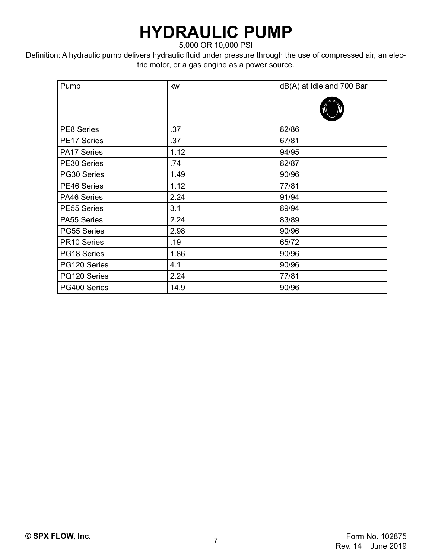# **HYDRAULIC PUMP**

5,000 OR 10,000 PSI

Definition: A hydraulic pump delivers hydraulic fluid under pressure through the use of compressed air, an electric motor, or a gas engine as a power source.

| Pump               | kw   | dB(A) at Idle and 700 Bar |
|--------------------|------|---------------------------|
| <b>PE8 Series</b>  | .37  | 82/86                     |
| <b>PE17 Series</b> | .37  | 67/81                     |
| PA17 Series        | 1.12 | 94/95                     |
| PE30 Series        | .74  | 82/87                     |
| PG30 Series        | 1.49 | 90/96                     |
| PE46 Series        | 1.12 | 77/81                     |
| PA46 Series        | 2.24 | 91/94                     |
| PE55 Series        | 3.1  | 89/94                     |
| PA55 Series        | 2.24 | 83/89                     |
| PG55 Series        | 2.98 | 90/96                     |
| PR10 Series        | .19  | 65/72                     |
| PG18 Series        | 1.86 | 90/96                     |
| PG120 Series       | 4.1  | 90/96                     |
| PQ120 Series       | 2.24 | 77/81                     |
| PG400 Series       | 14.9 | 90/96                     |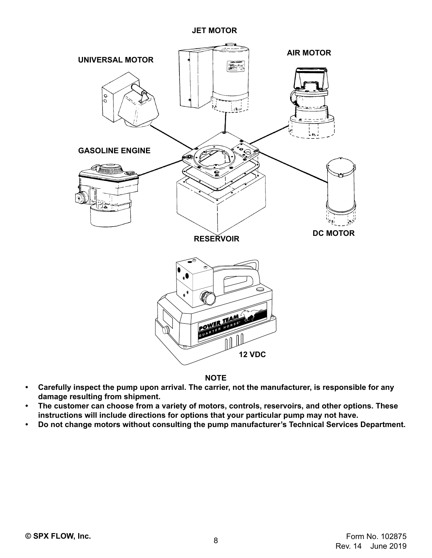### **JET MOTOR**



**NOTE**

- **• Carefully inspect the pump upon arrival. The carrier, not the manufacturer, is responsible for any damage resulting from shipment.**
- **• The customer can choose from a variety of motors, controls, reservoirs, and other options. These instructions will include directions for options that your particular pump may not have.**
- **• Do not change motors without consulting the pump manufacturer's Technical Services Department.**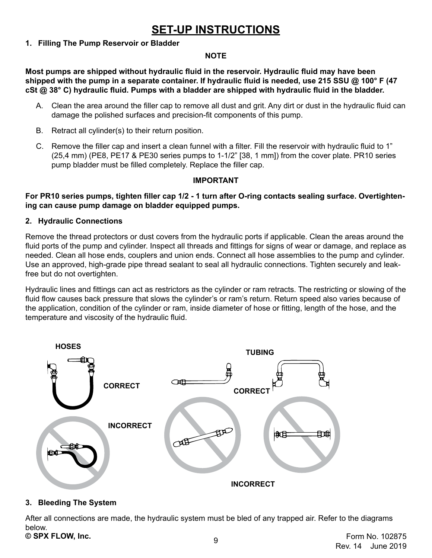# **SET-UP INSTRUCTIONS**

### <span id="page-8-0"></span>**1. Filling The Pump Reservoir or Bladder**

### **NOTE**

**Most pumps are shipped without hydraulic fluid in the reservoir. Hydraulic fluid may have been shipped with the pump in a separate container. If hydraulic fluid is needed, use 215 SSU @ 100° F (47 cSt @ 38° C) hydraulic fluid. Pumps with a bladder are shipped with hydraulic fluid in the bladder.**

- A. Clean the area around the filler cap to remove all dust and grit. Any dirt or dust in the hydraulic fluid can damage the polished surfaces and precision-fit components of this pump.
- B. Retract all cylinder(s) to their return position.
- C. Remove the filler cap and insert a clean funnel with a filter. Fill the reservoir with hydraulic fluid to 1" (25,4 mm) (PE8, PE17 & PE30 series pumps to 1-1/2" [38, 1 mm]) from the cover plate. PR10 series pump bladder must be filled completely. Replace the filler cap.

### **IMPORTANT**

**For PR10 series pumps, tighten filler cap 1/2 - 1 turn after O-ring contacts sealing surface. Overtightening can cause pump damage on bladder equipped pumps.**

### **2. Hydraulic Connections**

Remove the thread protectors or dust covers from the hydraulic ports if applicable. Clean the areas around the fluid ports of the pump and cylinder. Inspect all threads and fittings for signs of wear or damage, and replace as needed. Clean all hose ends, couplers and union ends. Connect all hose assemblies to the pump and cylinder. Use an approved, high-grade pipe thread sealant to seal all hydraulic connections. Tighten securely and leakfree but do not overtighten.

Hydraulic lines and fittings can act as restrictors as the cylinder or ram retracts. The restricting or slowing of the fluid flow causes back pressure that slows the cylinder's or ram's return. Return speed also varies because of the application, condition of the cylinder or ram, inside diameter of hose or fitting, length of the hose, and the temperature and viscosity of the hydraulic fluid.



### **3. Bleeding The System**

<sup>9</sup> **© SPX FLOW, Inc.** Form No. 102875 After all connections are made, the hydraulic system must be bled of any trapped air. Refer to the diagrams below.<br>© **SPX FLOW, Inc.** 

Rev. 14 June 2019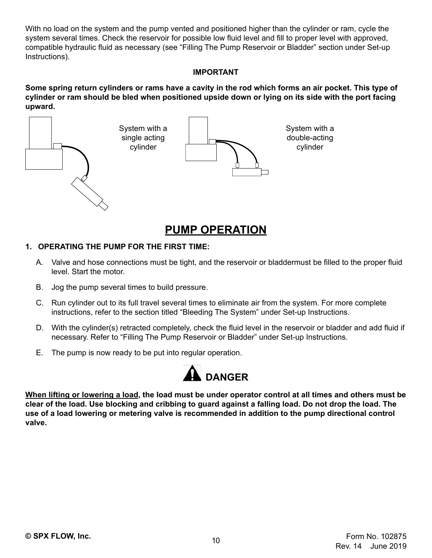<span id="page-9-0"></span>With no load on the system and the pump vented and positioned higher than the cylinder or ram, cycle the system several times. Check the reservoir for possible low fluid level and fill to proper level with approved, compatible hydraulic fluid as necessary (see "Filling The Pump Reservoir or Bladder" section under Set-up Instructions).

### **IMPORTANT**

**Some spring return cylinders or rams have a cavity in the rod which forms an air pocket. This type of cylinder or ram should be bled when positioned upside down or lying on its side with the port facing upward.**



# **PUMP OPERATION**

### **1. OPERATING THE PUMP FOR THE FIRST TIME:**

- A. Valve and hose connections must be tight, and the reservoir or bladdermust be filled to the proper fluid level. Start the motor.
- B. Jog the pump several times to build pressure.
- C. Run cylinder out to its full travel several times to eliminate air from the system. For more complete instructions, refer to the section titled "Bleeding The System" under Set-up Instructions.
- D. With the cylinder(s) retracted completely, check the fluid level in the reservoir or bladder and add fluid if necessary. Refer to "Filling The Pump Reservoir or Bladder" under Set-up Instructions.
- E. The pump is now ready to be put into regular operation.



**When lifting or lowering a load, the load must be under operator control at all times and others must be clear of the load. Use blocking and cribbing to guard against a falling load. Do not drop the load. The use of a load lowering or metering valve is recommended in addition to the pump directional control valve.**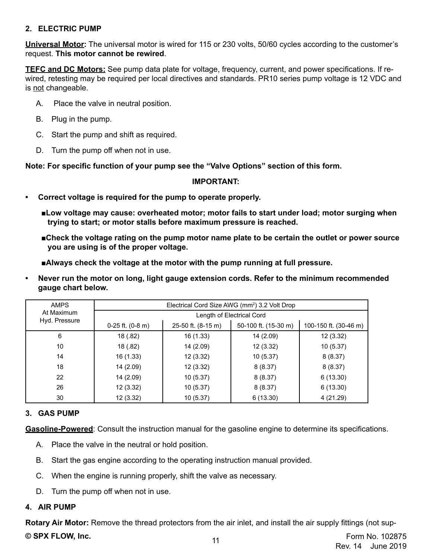### <span id="page-10-0"></span>**2. ELECTRIC PUMP**

**Universal Motor:** The universal motor is wired for 115 or 230 volts, 50/60 cycles according to the customer's request. **This motor cannot be rewired**.

**TEFC and DC Motors:** See pump data plate for voltage, frequency, current, and power specifications. If rewired, retesting may be required per local directives and standards. PR10 series pump voltage is 12 VDC and is not changeable.

- A. Place the valve in neutral position.
- B. Plug in the pump.
- C. Start the pump and shift as required.
- D. Turn the pump off when not in use.

**Note: For specific function of your pump see the "Valve Options" section of this form.**

### **IMPORTANT:**

- **• Correct voltage is required for the pump to operate properly.**
	- ■**Low voltage may cause: overheated motor; motor fails to start under load; motor surging when trying to start; or motor stalls before maximum pressure is reached.**
	- **■Check the voltage rating on the pump motor name plate to be certain the outlet or power source you are using is of the proper voltage.**
	- **■Always check the voltage at the motor with the pump running at full pressure.**
- **• Never run the motor on long, light gauge extension cords. Refer to the minimum recommended gauge chart below.**

| <b>AMPS</b>   |                      |                    | Electrical Cord Size AWG (mm <sup>2</sup> ) 3.2 Volt Drop |                       |
|---------------|----------------------|--------------------|-----------------------------------------------------------|-----------------------|
| At Maximum    |                      |                    | Length of Electrical Cord                                 |                       |
| Hyd. Pressure | $0-25$ ft. $(0-8$ m) | 25-50 ft. (8-15 m) | 50-100 ft. (15-30 m)                                      | 100-150 ft. (30-46 m) |
| 6             | 18 (.82)             | 16(1.33)           | 14 (2.09)                                                 | 12(3.32)              |
| 10            | 18 (.82)             | 14 (2.09)          | 12(3.32)                                                  | 10(5.37)              |
| 14            | 16 (1.33)            | 12(3.32)           | 10(5.37)                                                  | 8(8.37)               |
| 18            | 14 (2.09)            | 12(3.32)           | 8(8.37)                                                   | 8(8.37)               |
| 22            | 14 (2.09)            | 10(5.37)           | 8(8.37)                                                   | 6(13.30)              |
| 26            | 12(3.32)             | 10(5.37)           | 8(8.37)                                                   | 6(13.30)              |
| 30            | 12(3.32)             | 10(5.37)           | 6(13.30)                                                  | 4(21.29)              |

### **3. GAS PUMP**

**Gasoline-Powered**: Consult the instruction manual for the gasoline engine to determine its specifications.

- A. Place the valve in the neutral or hold position.
- B. Start the gas engine according to the operating instruction manual provided.
- C. When the engine is running properly, shift the valve as necessary.
- D. Turn the pump off when not in use.

### **4. AIR PUMP**

<sup>11</sup> **© SPX FLOW, Inc.** Form No. 102875 **Rotary Air Motor:** Remove the thread protectors from the air inlet, and install the air supply fittings (not sup-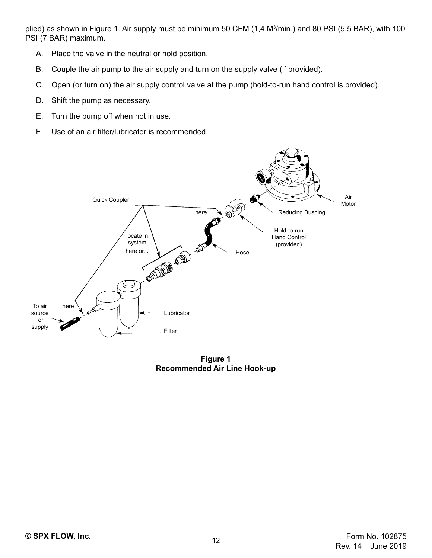<span id="page-11-0"></span>plied) as shown in Figure 1. Air supply must be minimum 50 CFM (1,4 M3 /min.) and 80 PSI (5,5 BAR), with 100 PSI (7 BAR) maximum.

- A. Place the valve in the neutral or hold position.
- B. Couple the air pump to the air supply and turn on the supply valve (if provided).
- C. Open (or turn on) the air supply control valve at the pump (hold-to-run hand control is provided).
- D. Shift the pump as necessary.
- E. Turn the pump off when not in use.
- F. Use of an air filter/lubricator is recommended.



**Figure 1 Recommended Air Line Hook-up**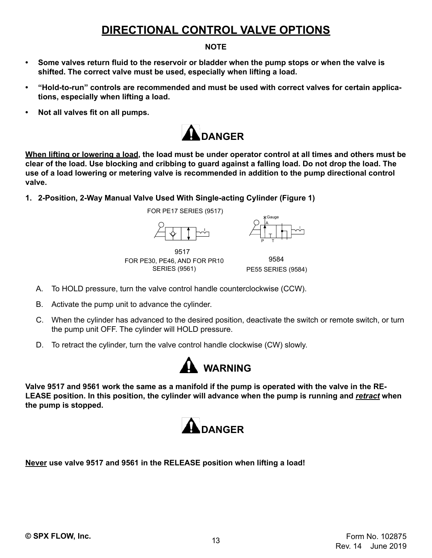# **DIRECTIONAL CONTROL VALVE OPTIONS**

### **NOTE**

- <span id="page-12-0"></span>**• Some valves return fluid to the reservoir or bladder when the pump stops or when the valve is shifted. The correct valve must be used, especially when lifting a load.**
- **• "Hold-to-run" controls are recommended and must be used with correct valves for certain applications, especially when lifting a load.**
- **• Not all valves fit on all pumps.**



**When lifting or lowering a load, the load must be under operator control at all times and others must be clear of the load. Use blocking and cribbing to guard against a falling load. Do not drop the load. The use of a load lowering or metering valve is recommended in addition to the pump directional control valve.**

**1. 2-Position, 2-Way Manual Valve Used With Single-acting Cylinder (Figure 1)**

FOR PE17 SERIES (9517)



9517 FOR PE30, PE46, AND FOR PR10 SERIES (9561)

9584 PE55 SERIES (9584)

P T

A Gauge

- A. To HOLD pressure, turn the valve control handle counterclockwise (CCW).
- B. Activate the pump unit to advance the cylinder.
- C. When the cylinder has advanced to the desired position, deactivate the switch or remote switch, or turn the pump unit OFF. The cylinder will HOLD pressure.
- D. To retract the cylinder, turn the valve control handle clockwise (CW) slowly.



**Valve 9517 and 9561 work the same as a manifold if the pump is operated with the valve in the RE-LEASE position. In this position, the cylinder will advance when the pump is running and** *retract* **when the pump is stopped.**



**Never use valve 9517 and 9561 in the RELEASE position when lifting a load!**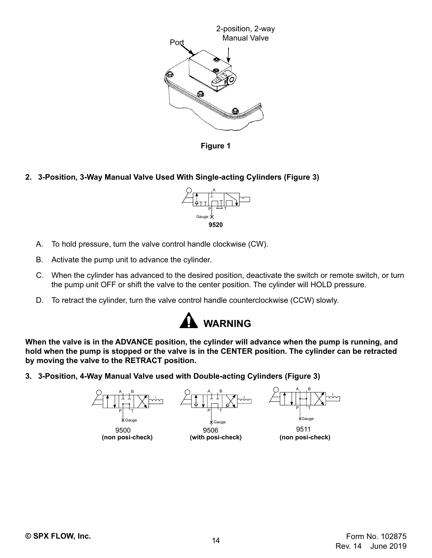<span id="page-13-0"></span>

**Figure 1** 

**2. 3-Position, 3-Way Manual Valve Used With Single-acting Cylinders (Figure 3)**



- A. To hold pressure, turn the valve control handle clockwise (CW).
- B. Activate the pump unit to advance the cylinder.
- C. When the cylinder has advanced to the desired position, deactivate the switch or remote switch, or turn the pump unit OFF or shift the valve to the center position. The cylinder will HOLD pressure.
- D. To retract the cylinder, turn the valve control handle counterclockwise (CCW) slowly.



**When the valve is in the ADVANCE position, the cylinder will advance when the pump is running, and hold when the pump is stopped or the valve is in the CENTER position. The cylinder can be retracted by moving the valve to the RETRACT position.**

**3. 3-Position, 4-Way Manual Valve used with Double-acting Cylinders (Figure 3)**

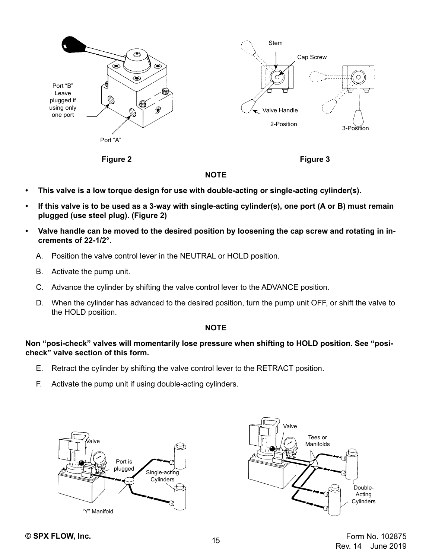

**Figure 2 Figure 3**

### **NOTE**

- **• This valve is a low torque design for use with double-acting or single-acting cylinder(s).**
- **• If this valve is to be used as a 3-way with single-acting cylinder(s), one port (A or B) must remain plugged (use steel plug). (Figure 2)**
- **• Valve handle can be moved to the desired position by loosening the cap screw and rotating in increments of 22-1/2°.**
	- A. Position the valve control lever in the NEUTRAL or HOLD position.
	- B. Activate the pump unit.
	- C. Advance the cylinder by shifting the valve control lever to the ADVANCE position.
	- D. When the cylinder has advanced to the desired position, turn the pump unit OFF, or shift the valve to the HOLD position.

### **NOTE**

**Non "posi-check" valves will momentarily lose pressure when shifting to HOLD position. See "posicheck" valve section of this form.**

- E. Retract the cylinder by shifting the valve control lever to the RETRACT position.
- F. Activate the pump unit if using double-acting cylinders.





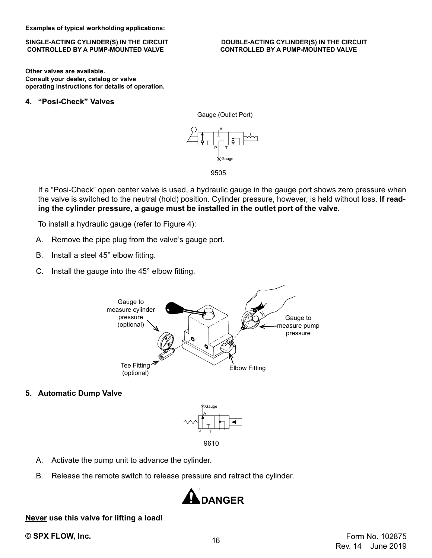<span id="page-15-0"></span>**Examples of typical workholding applications:**

# **CONTROLLED BY A PUMP-MOUNTED VALVE CONTROLLED BY A PUMP-MOUNTED VALVE**

**Other valves are available. Consult your dealer, catalog or valve operating instructions for details of operation.**

### **4. "Posi-Check" Valves**



9505

If a "Posi-Check" open center valve is used, a hydraulic gauge in the gauge port shows zero pressure when the valve is switched to the neutral (hold) position. Cylinder pressure, however, is held without loss. **If reading the cylinder pressure, a gauge must be installed in the outlet port of the valve.**

To install a hydraulic gauge (refer to Figure 4):

- A. Remove the pipe plug from the valve's gauge port.
- B. Install a steel 45° elbow fitting.
- C. Install the gauge into the 45° elbow fitting.



**5. Automatic Dump Valve**



- A. Activate the pump unit to advance the cylinder.
- B. Release the remote switch to release pressure and retract the cylinder.



### **Never use this valve for lifting a load!**

SINGLE-ACTING CYLINDER(S) IN THE CIRCUIT **DOUBLE-ACTING CYLINDER(S) IN THE CIRCUIT**<br>CONTROLLED BY A PUMP-MOUNTED VALVE CONTROLLED BY A PUMP-MOUNTED VALVE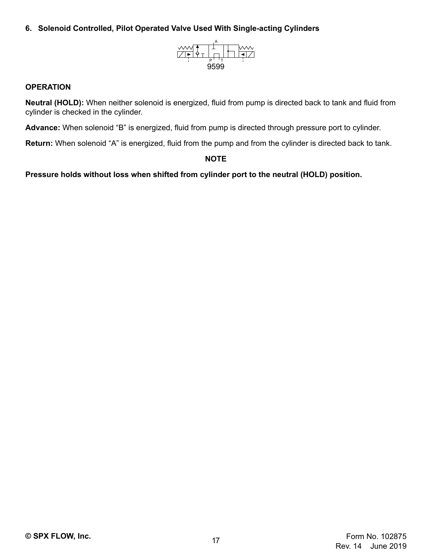### <span id="page-16-0"></span>**6. Solenoid Controlled, Pilot Operated Valve Used With Single-acting Cylinders**



### **OPERATION**

**Neutral (HOLD):** When neither solenoid is energized, fluid from pump is directed back to tank and fluid from cylinder is checked in the cylinder.

**Advance:** When solenoid "B" is energized, fluid from pump is directed through pressure port to cylinder.

**Return:** When solenoid "A" is energized, fluid from the pump and from the cylinder is directed back to tank.

**NOTE**

**Pressure holds without loss when shifted from cylinder port to the neutral (HOLD) position.**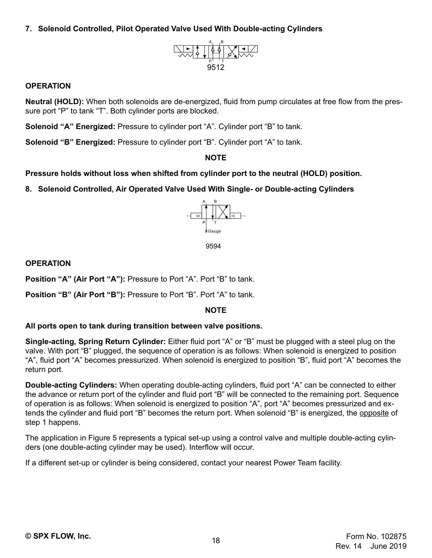<span id="page-17-0"></span>**7. Solenoid Controlled, Pilot Operated Valve Used With Double-acting Cylinders**



### **OPERATION**

**Neutral (HOLD):** When both solenoids are de-energized, fluid from pump circulates at free flow from the pressure port "P" to tank "T". Both cylinder ports are blocked.

**Solenoid "A" Energized:** Pressure to cylinder port "A". Cylinder port "B" to tank.

**Solenoid "B" Energized:** Pressure to cylinder port "B". Cylinder port "A" to tank.

### **NOTE**

### **Pressure holds without loss when shifted from cylinder port to the neutral (HOLD) position.**

**8. Solenoid Controlled, Air Operated Valve Used With Single- or Double-acting Cylinders**



9594

### **OPERATION**

**Position "A" (Air Port "A"):** Pressure to Port "A". Port "B" to tank.

**Position "B" (Air Port "B"):** Pressure to Port "B". Port "A" to tank.

### **NOTE**

### **All ports open to tank during transition between valve positions.**

**Single-acting, Spring Return Cylinder:** Either fluid port "A" or "B" must be plugged with a steel plug on the valve. With port "B" plugged, the sequence of operation is as follows: When solenoid is energized to position "A", fluid port "A" becomes pressurized. When solenoid is energized to position "B", fluid port "A" becomes the return port.

**Double-acting Cylinders:** When operating double-acting cylinders, fluid port "A" can be connected to either the advance or return port of the cylinder and fluid port "B" will be connected to the remaining port. Sequence of operation is as follows: When solenoid is energized to position "A", port "A" becomes pressurized and extends the cylinder and fluid port "B" becomes the return port. When solenoid "B" is energized, the opposite of step 1 happens.

The application in Figure 5 represents a typical set-up using a control valve and multiple double-acting cylinders (one double-acting cylinder may be used). Interflow will occur.

If a different set-up or cylinder is being considered, contact your nearest Power Team facility.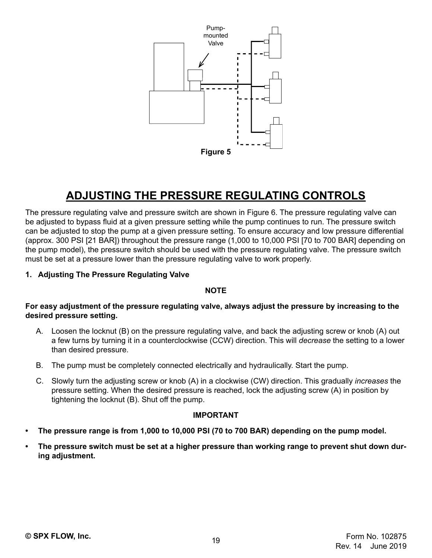<span id="page-18-0"></span>

# **ADJUSTING THE PRESSURE REGULATING CONTROLS**

The pressure regulating valve and pressure switch are shown in Figure 6. The pressure regulating valve can be adjusted to bypass fluid at a given pressure setting while the pump continues to run. The pressure switch can be adjusted to stop the pump at a given pressure setting. To ensure accuracy and low pressure differential (approx. 300 PSI [21 BAR]) throughout the pressure range (1,000 to 10,000 PSI [70 to 700 BAR] depending on the pump model), the pressure switch should be used with the pressure regulating valve. The pressure switch must be set at a pressure lower than the pressure regulating valve to work properly.

### **1. Adjusting The Pressure Regulating Valve**

### **NOTE**

**For easy adjustment of the pressure regulating valve, always adjust the pressure by increasing to the desired pressure setting.**

- A. Loosen the locknut (B) on the pressure regulating valve, and back the adjusting screw or knob (A) out a few turns by turning it in a counterclockwise (CCW) direction. This will *decrease* the setting to a lower than desired pressure.
- B. The pump must be completely connected electrically and hydraulically. Start the pump.
- C. Slowly turn the adjusting screw or knob (A) in a clockwise (CW) direction. This gradually *increases* the pressure setting. When the desired pressure is reached, lock the adjusting screw (A) in position by tightening the locknut (B). Shut off the pump.

### **IMPORTANT**

- **• The pressure range is from 1,000 to 10,000 PSI (70 to 700 BAR) depending on the pump model.**
- **• The pressure switch must be set at a higher pressure than working range to prevent shut down during adjustment.**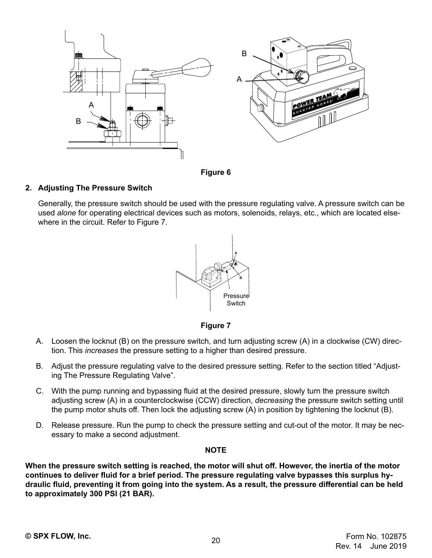<span id="page-19-0"></span>

**Figure 6**

### **2. Adjusting The Pressure Switch**

Generally, the pressure switch should be used with the pressure regulating valve. A pressure switch can be used *alone* for operating electrical devices such as motors, solenoids, relays, etc., which are located elsewhere in the circuit. Refer to Figure 7.



**Figure 7**

- A. Loosen the locknut (B) on the pressure switch, and turn adjusting screw (A) in a clockwise (CW) direction. This *increases* the pressure setting to a higher than desired pressure.
- B. Adjust the pressure regulating valve to the desired pressure setting. Refer to the section titled "Adjusting The Pressure Regulating Valve".
- C. With the pump running and bypassing fluid at the desired pressure, slowly turn the pressure switch adjusting screw (A) in a counterclockwise (CCW) direction, *decreasing* the pressure switch setting until the pump motor shuts off. Then lock the adjusting screw (A) in position by tightening the locknut (B).
- D. Release pressure. Run the pump to check the pressure setting and cut-out of the motor. It may be necessary to make a second adjustment.

### **NOTE**

**When the pressure switch setting is reached, the motor will shut off. However, the inertia of the motor continues to deliver fluid for a brief period. The pressure regulating valve bypasses this surplus hydraulic fluid, preventing it from going into the system. As a result, the pressure differential can be held to approximately 300 PSI (21 BAR).**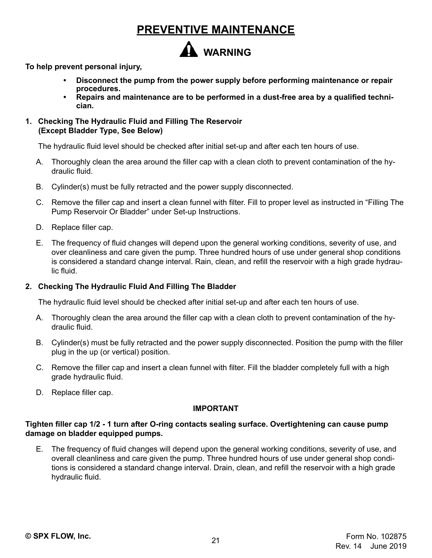# **PREVENTIVE MAINTENANCE**

# **WARNING**

<span id="page-20-0"></span>**To help prevent personal injury,**

- **• Disconnect the pump from the power supply before performing maintenance or repair procedures.**
- **• Repairs and maintenance are to be performed in a dust-free area by a qualified technician.**
- **1. Checking The Hydraulic Fluid and Filling The Reservoir (Except Bladder Type, See Below)**

The hydraulic fluid level should be checked after initial set-up and after each ten hours of use.

- A. Thoroughly clean the area around the filler cap with a clean cloth to prevent contamination of the hydraulic fluid.
- B. Cylinder(s) must be fully retracted and the power supply disconnected.
- C. Remove the filler cap and insert a clean funnel with filter. Fill to proper level as instructed in "Filling The Pump Reservoir Or Bladder" under Set-up Instructions.
- D. Replace filler cap.
- E. The frequency of fluid changes will depend upon the general working conditions, severity of use, and over cleanliness and care given the pump. Three hundred hours of use under general shop conditions is considered a standard change interval. Rain, clean, and refill the reservoir with a high grade hydraulic fluid.

### **2. Checking The Hydraulic Fluid And Filling The Bladder**

The hydraulic fluid level should be checked after initial set-up and after each ten hours of use.

- A. Thoroughly clean the area around the filler cap with a clean cloth to prevent contamination of the hydraulic fluid.
- B. Cylinder(s) must be fully retracted and the power supply disconnected. Position the pump with the filler plug in the up (or vertical) position.
- C. Remove the filler cap and insert a clean funnel with filter. Fill the bladder completely full with a high grade hydraulic fluid.
- D. Replace filler cap.

### **IMPORTANT**

### **Tighten filler cap 1/2 - 1 turn after O-ring contacts sealing surface. Overtightening can cause pump damage on bladder equipped pumps.**

E. The frequency of fluid changes will depend upon the general working conditions, severity of use, and overall cleanliness and care given the pump. Three hundred hours of use under general shop conditions is considered a standard change interval. Drain, clean, and refill the reservoir with a high grade hydraulic fluid.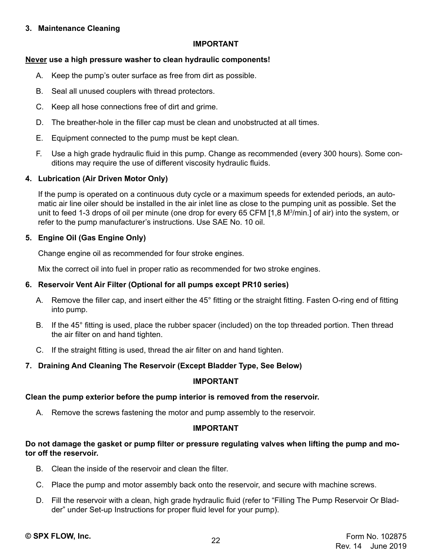### <span id="page-21-0"></span>**3. Maintenance Cleaning**

### **IMPORTANT**

### **Never use a high pressure washer to clean hydraulic components!**

- A. Keep the pump's outer surface as free from dirt as possible.
- B. Seal all unused couplers with thread protectors.
- C. Keep all hose connections free of dirt and grime.
- D. The breather-hole in the filler cap must be clean and unobstructed at all times.
- E. Equipment connected to the pump must be kept clean.
- F. Use a high grade hydraulic fluid in this pump. Change as recommended (every 300 hours). Some conditions may require the use of different viscosity hydraulic fluids.

## **4. Lubrication (Air Driven Motor Only)**

If the pump is operated on a continuous duty cycle or a maximum speeds for extended periods, an automatic air line oiler should be installed in the air inlet line as close to the pumping unit as possible. Set the unit to feed 1-3 drops of oil per minute (one drop for every 65 CFM [1,8 M3 /min.] of air) into the system, or refer to the pump manufacturer's instructions. Use SAE No. 10 oil.

## **5. Engine Oil (Gas Engine Only)**

Change engine oil as recommended for four stroke engines.

Mix the correct oil into fuel in proper ratio as recommended for two stroke engines.

## **6. Reservoir Vent Air Filter (Optional for all pumps except PR10 series)**

- A. Remove the filler cap, and insert either the 45° fitting or the straight fitting. Fasten O-ring end of fitting into pump.
- B. If the 45° fitting is used, place the rubber spacer (included) on the top threaded portion. Then thread the air filter on and hand tighten.
- C. If the straight fitting is used, thread the air filter on and hand tighten.

# **7. Draining And Cleaning The Reservoir (Except Bladder Type, See Below)**

### **IMPORTANT**

## **Clean the pump exterior before the pump interior is removed from the reservoir.**

A. Remove the screws fastening the motor and pump assembly to the reservoir.

### **IMPORTANT**

### **Do not damage the gasket or pump filter or pressure regulating valves when lifting the pump and motor off the reservoir.**

- B. Clean the inside of the reservoir and clean the filter.
- C. Place the pump and motor assembly back onto the reservoir, and secure with machine screws.
- D. Fill the reservoir with a clean, high grade hydraulic fluid (refer to "Filling The Pump Reservoir Or Bladder" under Set-up Instructions for proper fluid level for your pump).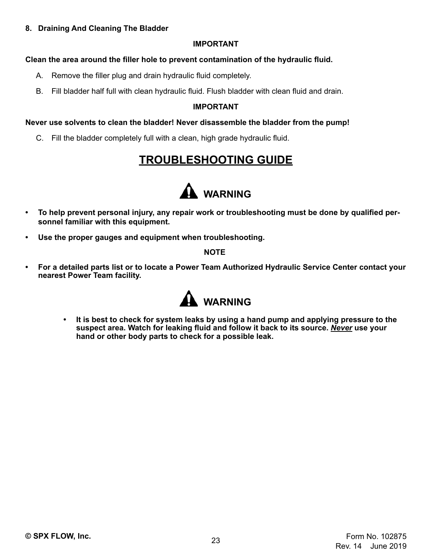### <span id="page-22-0"></span>**8. Draining And Cleaning The Bladder**

### **IMPORTANT**

## **Clean the area around the filler hole to prevent contamination of the hydraulic fluid.**

- A. Remove the filler plug and drain hydraulic fluid completely.
- B. Fill bladder half full with clean hydraulic fluid. Flush bladder with clean fluid and drain.

## **IMPORTANT**

## **Never use solvents to clean the bladder! Never disassemble the bladder from the pump!**

C. Fill the bladder completely full with a clean, high grade hydraulic fluid.

# **TROUBLESHOOTING GUIDE**



- **• To help prevent personal injury, any repair work or troubleshooting must be done by qualified personnel familiar with this equipment.**
- **• Use the proper gauges and equipment when troubleshooting.**

### **NOTE**

**• For a detailed parts list or to locate a Power Team Authorized Hydraulic Service Center contact your nearest Power Team facility.**



**• It is best to check for system leaks by using a hand pump and applying pressure to the suspect area. Watch for leaking fluid and follow it back to its source.** *Never* **use your hand or other body parts to check for a possible leak.**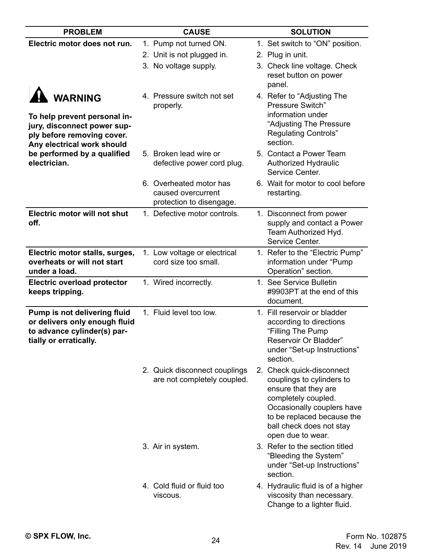| <b>PROBLEM</b>                                                                                                                            | <b>CAUSE</b>                                                              | <b>SOLUTION</b>                                                                                                                                                                                                    |
|-------------------------------------------------------------------------------------------------------------------------------------------|---------------------------------------------------------------------------|--------------------------------------------------------------------------------------------------------------------------------------------------------------------------------------------------------------------|
| Electric motor does not run.                                                                                                              | 1. Pump not turned ON.                                                    | 1. Set switch to "ON" position.                                                                                                                                                                                    |
|                                                                                                                                           | 2. Unit is not plugged in.                                                | 2. Plug in unit.                                                                                                                                                                                                   |
|                                                                                                                                           | 3. No voltage supply.                                                     | 3. Check line voltage. Check<br>reset button on power<br>panel.                                                                                                                                                    |
| <b>WARNING</b><br>To help prevent personal in-<br>jury, disconnect power sup-<br>ply before removing cover.<br>Any electrical work should | 4. Pressure switch not set<br>properly.                                   | 4. Refer to "Adjusting The<br>Pressure Switch"<br>information under<br>"Adjusting The Pressure<br><b>Regulating Controls"</b><br>section.                                                                          |
| be performed by a qualified<br>electrician.                                                                                               | 5. Broken lead wire or<br>defective power cord plug.                      | 5. Contact a Power Team<br>Authorized Hydraulic<br>Service Center.                                                                                                                                                 |
|                                                                                                                                           | 6. Overheated motor has<br>caused overcurrent<br>protection to disengage. | 6. Wait for motor to cool before<br>restarting.                                                                                                                                                                    |
| <b>Electric motor will not shut</b><br>off.                                                                                               | 1. Defective motor controls.                                              | 1. Disconnect from power<br>supply and contact a Power<br>Team Authorized Hyd.<br>Service Center.                                                                                                                  |
| Electric motor stalls, surges,<br>overheats or will not start<br>under a load.                                                            | 1. Low voltage or electrical<br>cord size too small.                      | 1. Refer to the "Electric Pump"<br>information under "Pump<br>Operation" section.                                                                                                                                  |
| <b>Electric overload protector</b><br>keeps tripping.                                                                                     | 1. Wired incorrectly.                                                     | 1. See Service Bulletin<br>#9903PT at the end of this<br>document.                                                                                                                                                 |
| Pump is not delivering fluid<br>or delivers only enough fluid<br>to advance cylinder(s) par-<br>tially or erratically.                    | 1. Fluid level too low.                                                   | 1. Fill reservoir or bladder<br>according to directions<br>"Filling The Pump<br>Reservoir Or Bladder"<br>under "Set-up Instructions"<br>section.                                                                   |
|                                                                                                                                           | 2. Quick disconnect couplings<br>are not completely coupled.              | 2. Check quick-disconnect<br>couplings to cylinders to<br>ensure that they are<br>completely coupled.<br>Occasionally couplers have<br>to be replaced because the<br>ball check does not stay<br>open due to wear. |
|                                                                                                                                           | 3. Air in system.                                                         | 3. Refer to the section titled<br>"Bleeding the System"<br>under "Set-up Instructions"<br>section.                                                                                                                 |
|                                                                                                                                           | 4. Cold fluid or fluid too<br>viscous.                                    | 4. Hydraulic fluid is of a higher<br>viscosity than necessary.<br>Change to a lighter fluid.                                                                                                                       |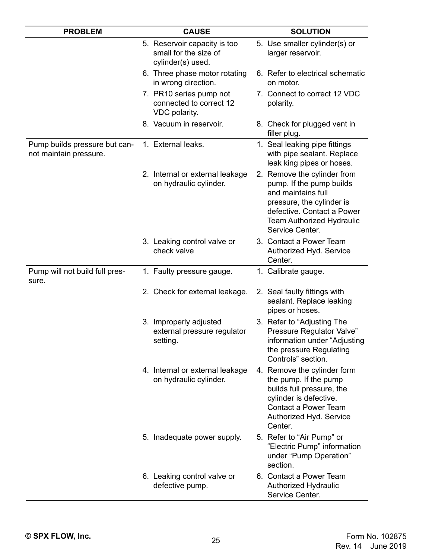| <b>PROBLEM</b>                                          | <b>CAUSE</b>                                                               | <b>SOLUTION</b>                                                                                                                                                                                 |
|---------------------------------------------------------|----------------------------------------------------------------------------|-------------------------------------------------------------------------------------------------------------------------------------------------------------------------------------------------|
|                                                         | 5. Reservoir capacity is too<br>small for the size of<br>cylinder(s) used. | 5. Use smaller cylinder(s) or<br>larger reservoir.                                                                                                                                              |
|                                                         | 6. Three phase motor rotating<br>in wrong direction.                       | 6. Refer to electrical schematic<br>on motor.                                                                                                                                                   |
|                                                         | 7. PR10 series pump not<br>connected to correct 12<br>VDC polarity.        | 7. Connect to correct 12 VDC<br>polarity.                                                                                                                                                       |
|                                                         | 8. Vacuum in reservoir.                                                    | 8. Check for plugged vent in<br>filler plug.                                                                                                                                                    |
| Pump builds pressure but can-<br>not maintain pressure. | 1. External leaks.                                                         | 1. Seal leaking pipe fittings<br>with pipe sealant. Replace<br>leak king pipes or hoses.                                                                                                        |
|                                                         | 2. Internal or external leakage<br>on hydraulic cylinder.                  | 2. Remove the cylinder from<br>pump. If the pump builds<br>and maintains full<br>pressure, the cylinder is<br>defective. Contact a Power<br><b>Team Authorized Hydraulic</b><br>Service Center. |
|                                                         | 3. Leaking control valve or<br>check valve                                 | 3. Contact a Power Team<br>Authorized Hyd. Service<br>Center.                                                                                                                                   |
| Pump will not build full pres-<br>sure.                 | 1. Faulty pressure gauge.                                                  | 1. Calibrate gauge.                                                                                                                                                                             |
|                                                         | 2. Check for external leakage.                                             | 2. Seal faulty fittings with<br>sealant. Replace leaking<br>pipes or hoses.                                                                                                                     |
|                                                         | 3. Improperly adjusted<br>external pressure regulator<br>setting.          | 3. Refer to "Adjusting The<br>Pressure Regulator Valve"<br>information under "Adjusting<br>the pressure Regulating<br>Controls" section.                                                        |
|                                                         | 4. Internal or external leakage<br>on hydraulic cylinder.                  | 4. Remove the cylinder form<br>the pump. If the pump<br>builds full pressure, the<br>cylinder is defective.<br>Contact a Power Team<br>Authorized Hyd. Service<br>Center.                       |
|                                                         | 5. Inadequate power supply.                                                | 5. Refer to "Air Pump" or<br>"Electric Pump" information<br>under "Pump Operation"<br>section.                                                                                                  |
|                                                         | 6. Leaking control valve or<br>defective pump.                             | 6. Contact a Power Team<br><b>Authorized Hydraulic</b><br>Service Center.                                                                                                                       |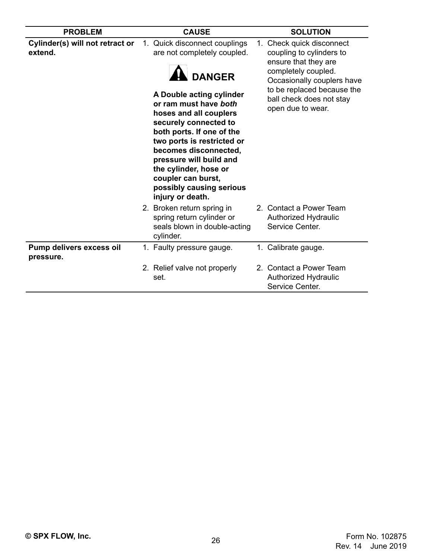| <b>PROBLEM</b>                             | <b>CAUSE</b>                                                                                                                                                                                                                                                                                                                                                                                                                                                                                                                                       | <b>SOLUTION</b>                                                           |
|--------------------------------------------|----------------------------------------------------------------------------------------------------------------------------------------------------------------------------------------------------------------------------------------------------------------------------------------------------------------------------------------------------------------------------------------------------------------------------------------------------------------------------------------------------------------------------------------------------|---------------------------------------------------------------------------|
| Cylinder(s) will not retract or<br>extend. | 1. Quick disconnect couplings<br>1. Check quick disconnect<br>are not completely coupled.<br>coupling to cylinders to<br>ensure that they are<br>completely coupled.<br><b>DANGER</b><br>Occasionally couplers have<br>to be replaced because the<br>A Double acting cylinder<br>ball check does not stay<br>or ram must have both<br>open due to wear.<br>hoses and all couplers<br>securely connected to<br>both ports. If one of the<br>two ports is restricted or<br>becomes disconnected,<br>pressure will build and<br>the cylinder, hose or |                                                                           |
|                                            | coupler can burst,<br>possibly causing serious<br>injury or death.<br>2. Broken return spring in<br>spring return cylinder or<br>seals blown in double-acting<br>cylinder.                                                                                                                                                                                                                                                                                                                                                                         | 2. Contact a Power Team<br>Authorized Hydraulic<br>Service Center.        |
| Pump delivers excess oil<br>pressure.      | 1. Faulty pressure gauge.                                                                                                                                                                                                                                                                                                                                                                                                                                                                                                                          | 1. Calibrate gauge.                                                       |
|                                            | 2. Relief valve not properly<br>set.                                                                                                                                                                                                                                                                                                                                                                                                                                                                                                               | 2. Contact a Power Team<br><b>Authorized Hydraulic</b><br>Service Center. |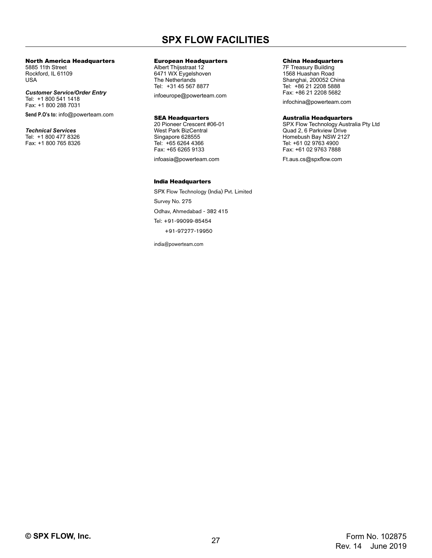# **SPX FLOW FACILITIES**

### North America Headquarters

5885 11th Street Rockford, IL 61109 USA

*Customer Service/Order Entry* Tel: +1 800 541 1418 Fax: +1 800 288 7031

**Send P.O's to:** info@powerteam.com

*Technical Services* Tel: +1 800 477 8326 Fax: +1 800 765 8326

### European Headquarters

Albert Thijsstraat 12 6471 WX Eygelshoven The Netherlands Tel: +31 45 567 8877

infoeurope@powerteam.com

### SEA Headquarters

20 Pioneer Crescent #06-01 West Park BizCentral Singapore 628555 Tel: +65 6264 4366 Fax: +65 6265 9133

infoasia@powerteam.com

### India Headquarters

SPX Flow Technology (India) Pvt. Limited Survey No. 275 Odhav, Ahmedabad - 382 415 Tel: +91-99099-85454 +91-97277-19950

india@powerteam.com

#### China Headquarters

7F Treasury Building 1568 Huashan Road Shanghai, 200052 China Tel: +86 21 2208 5888 Fax: +86 21 2208 5682

infochina@powerteam.com

### Australia Headquarters

SPX Flow Technology Australia Pty Ltd Quad 2, 6 Parkview Drive Homebush Bay NSW 2127 Tel: +61 02 9763 4900 Fax: +61 02 9763 7888

Ft.aus.cs@spxflow.com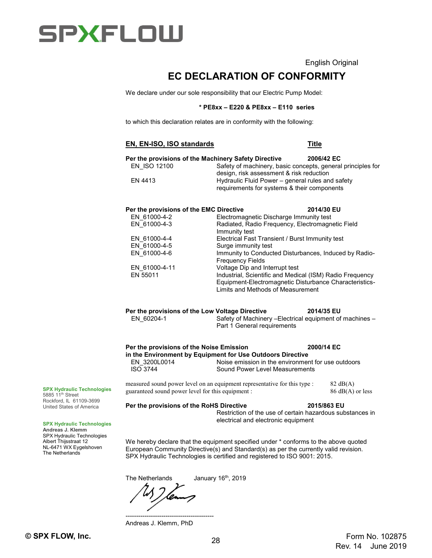### English Original

# **EC DECLARATION OF CONFORMITY**

<span id="page-27-0"></span>We declare under our sole responsibility that our Electric Pump Model:

### **\* PE8xx – E220 & PE8xx – E110 series**

to which this declaration relates are in conformity with the following:

### **EN, EN-ISO, ISO standards Title**

| Per the provisions of the Machinery Safety Directive<br>EN ISO 12100<br>EN 4413                                                                                        | Safety of machinery, basic concepts, general principles for<br>design, risk assessment & risk reduction<br>Hydraulic Fluid Power - general rules and safety<br>requirements for systems & their components | 2006/42 EC         |                    |
|------------------------------------------------------------------------------------------------------------------------------------------------------------------------|------------------------------------------------------------------------------------------------------------------------------------------------------------------------------------------------------------|--------------------|--------------------|
| Per the provisions of the EMC Directive                                                                                                                                |                                                                                                                                                                                                            | 2014/30 EU         |                    |
| EN 61000-4-2                                                                                                                                                           | Electromagnetic Discharge Immunity test                                                                                                                                                                    |                    |                    |
| EN 61000-4-3                                                                                                                                                           | Radiated, Radio Frequency, Electromagnetic Field<br>Immunity test                                                                                                                                          |                    |                    |
| EN 61000-4-4                                                                                                                                                           | Electrical Fast Transient / Burst Immunity test                                                                                                                                                            |                    |                    |
| EN 61000-4-5                                                                                                                                                           | Surge immunity test                                                                                                                                                                                        |                    |                    |
| EN 61000-4-6                                                                                                                                                           | Immunity to Conducted Disturbances, Induced by Radio-<br><b>Frequency Fields</b>                                                                                                                           |                    |                    |
| EN 61000-4-11                                                                                                                                                          | Voltage Dip and Interrupt test                                                                                                                                                                             |                    |                    |
| EN 55011                                                                                                                                                               | Industrial, Scientific and Medical (ISM) Radio Frequency                                                                                                                                                   |                    |                    |
|                                                                                                                                                                        | Equipment-Electromagnetic Disturbance Characteristics-<br><b>Limits and Methods of Measurement</b>                                                                                                         |                    |                    |
| Per the provisions of the Low Voltage Directive<br>2014/35 EU<br>EN 60204-1<br>Safety of Machinery - Electrical equipment of machines -<br>Part 1 General requirements |                                                                                                                                                                                                            |                    |                    |
| Per the provisions of the Noise Emission<br>EN 3200L0014<br><b>ISO 3744</b>                                                                                            | in the Environment by Equipment for Use Outdoors Directive<br>Noise emission in the environment for use outdoors<br>Sound Power Level Measurements                                                         | 2000/14 EC         |                    |
| guaranteed sound power level for this equipment :                                                                                                                      | measured sound power level on an equipment representative for this type :                                                                                                                                  | $82 \text{ dB}(A)$ | $86$ dB(A) or less |
| Per the provisions of the RoHS Directive                                                                                                                               | Restriction of the use of certain hazardous substances in<br>electrical and electronic equipment                                                                                                           | 2015/863 EU        |                    |

We hereby declare that the equipment specified under \* conforms to the above quoted European Community Directive(s) and Standard(s) as per the currently valid revision. SPX Hydraulic Technologies is certified and registered to ISO 9001: 2015.

The Netherlands January 16<sup>th</sup>, 2019

------------------------------------------ Andreas J. Klemm, PhD

**SPX Hydraulic Technologies**  $5885$  11<sup>th</sup> Street Rockford, IL 61109-3699

United States of America

#### **SPX Hydraulic Technologies**

**Andreas J. Klemm** SPX Hydraulic Technologies Albert Thijsstraat 12 NL-6471 WX Eygelshoven The Netherlands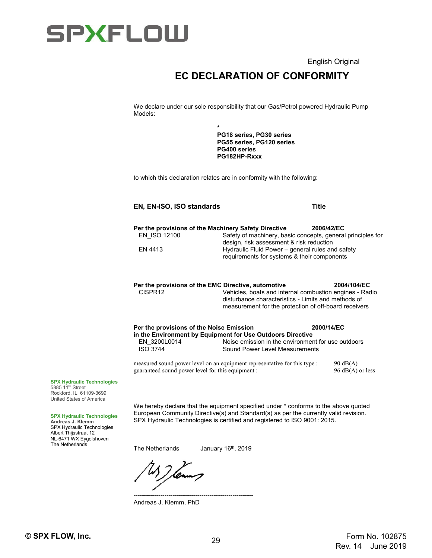English Original

# **EC DECLARATION OF CONFORMITY**

We declare under our sole responsibility that our Gas/Petrol powered Hydraulic Pump Models:

> **\* PG18 series, PG30 series PG55 series, PG120 series PG400 series PG182HP-Rxxx**

to which this declaration relates are in conformity with the following:

### **EN, EN-ISO, ISO standards Title**

**Per the provisions of the Machinery Safety Directive 2006/42/EC**<br>EN ISO 12100 Safety of machinery, basic concepts, general Safety of machinery, basic concepts, general principles for design, risk assessment & risk reduction EN 4413 Hydraulic Fluid Power – general rules and safety requirements for systems & their components

**Per the provisions of the EMC Directive, automotive 2004/104/EC** Vehicles, boats and internal combustion engines - Radio disturbance characteristics - Limits and methods of measurement for the protection of off-board receivers

| Per the provisions of the Noise Emission                   |                                | 2000/14/EC                                         |  |
|------------------------------------------------------------|--------------------------------|----------------------------------------------------|--|
| in the Environment by Equipment for Use Outdoors Directive |                                |                                                    |  |
| EN 3200L0014                                               |                                | Noise emission in the environment for use outdoors |  |
| <b>ISO 3744</b>                                            | Sound Power Level Measurements |                                                    |  |
|                                                            |                                |                                                    |  |

measured sound power level on an equipment representative for this type : 90 dB(A) guaranteed sound power level for this equipment : 96 dB(A) or less

**SPX Hydraulic Technologies** 5885 11<sup>th</sup> Street Rockford, IL 61109-3699 United States of America

### **SPX Hydraulic Technologies**

**Andreas J. Klemm** SPX Hydraulic Technologies Albert Thijsstraat 12 NL-6471 WX Eygelshoven The Netherlands

We hereby declare that the equipment specified under \* conforms to the above quoted European Community Directive(s) and Standard(s) as per the currently valid revision� SPX Hydraulic Technologies is certified and registered to ISO 9001: 2015.

---------------------------------------------------------- Andreas J. Klemm, PhD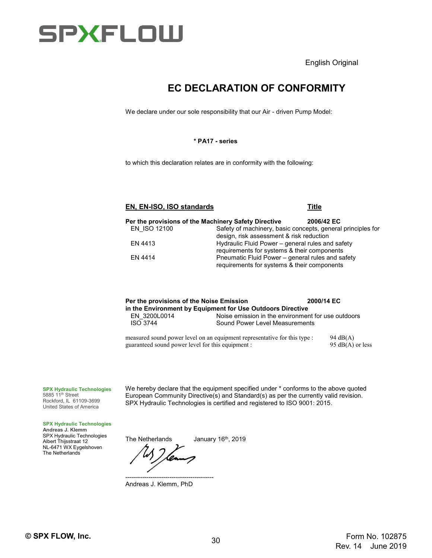English Original

# **EC DECLARATION OF CONFORMITY**

We declare under our sole responsibility that our Air - driven Pump Model:

### **\* PA17 - series**

to which this declaration relates are in conformity with the following:

### **EN, EN-ISO, ISO standards Title**

|              | Per the provisions of the Machinery Safety Directive | 2006/42 EC                                                  |
|--------------|------------------------------------------------------|-------------------------------------------------------------|
| EN ISO 12100 |                                                      | Safety of machinery, basic concepts, general principles for |
|              | design, risk assessment & risk reduction             |                                                             |
| EN 4413      | Hydraulic Fluid Power – general rules and safety     |                                                             |
|              | requirements for systems & their components          |                                                             |
| EN 4414      | Pneumatic Fluid Power – general rules and safety     |                                                             |
|              | requirements for systems & their components          |                                                             |

| Per the provisions of the Noise Emission                   | 2000/14 EC                                         |  |  |  |
|------------------------------------------------------------|----------------------------------------------------|--|--|--|
| in the Environment by Equipment for Use Outdoors Directive |                                                    |  |  |  |
| EN 3200L0014                                               | Noise emission in the environment for use outdoors |  |  |  |
| <b>ISO 3744</b>                                            | Sound Power Level Measurements                     |  |  |  |
|                                                            |                                                    |  |  |  |

measured sound power level on an equipment representative for this type : 94 dB(A) guaranteed sound power level for this equipment : 95 dB(A) or less

### **SPX Hydraulic Technologies**

5885 11<sup>th</sup> Street Rockford, IL 61109-3699 United States of America

We hereby declare that the equipment specified under  $*$  conforms to the above quoted European Community Directive(s) and Standard(s) as per the currently valid revision. SPX Hydraulic Technologies is certified and registered to ISO 9001: 2015.

#### **SPX Hydraulic Technologies**

**Andreas J. Klemm** SPX Hydraulic Technologies Albert Thijsstraat 12 NL-6471 WX Eygelshoven The Netherlands

------------------------------------------ Andreas J. Klemm, PhD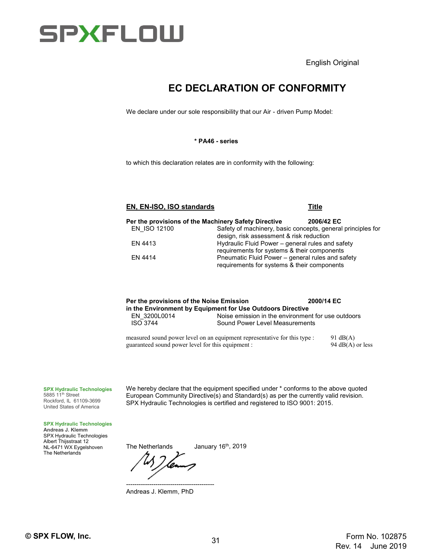English Original

# **EC DECLARATION OF CONFORMITY**

We declare under our sole responsibility that our Air - driven Pump Model:

### **\* PA46 - series**

to which this declaration relates are in conformity with the following:

### **EN, EN-ISO, ISO standards Title**

|              | Per the provisions of the Machinery Safety Directive | 2006/42 EC                                                  |  |
|--------------|------------------------------------------------------|-------------------------------------------------------------|--|
| EN ISO 12100 |                                                      | Safety of machinery, basic concepts, general principles for |  |
|              | design, risk assessment & risk reduction             |                                                             |  |
| EN 4413      | Hydraulic Fluid Power – general rules and safety     |                                                             |  |
|              | requirements for systems & their components          |                                                             |  |
| EN 4414      | Pneumatic Fluid Power – general rules and safety     |                                                             |  |
|              | requirements for systems & their components          |                                                             |  |

| Per the provisions of the Noise Emission                   |                                | 2000/14 EC                                         |  |
|------------------------------------------------------------|--------------------------------|----------------------------------------------------|--|
| in the Environment by Equipment for Use Outdoors Directive |                                |                                                    |  |
| EN 3200L0014                                               |                                | Noise emission in the environment for use outdoors |  |
| <b>ISO 3744</b>                                            | Sound Power Level Measurements |                                                    |  |
|                                                            |                                |                                                    |  |

measured sound power level on an equipment representative for this type : 91 dB(A) guaranteed sound power level for this equipment : 94 dB(A) or less

### **SPX Hydraulic Technologies**

5885 11<sup>th</sup> Street Rockford, IL 61109-3699 United States of America We hereby declare that the equipment specified under  $*$  conforms to the above quoted European Community Directive(s) and Standard(s) as per the currently valid revision. SPX Hydraulic Technologies is certified and registered to ISO 9001: 2015.

#### **SPX Hydraulic Technologies**

**Andreas J. Klemm** SPX Hydraulic Technologies Albert Thijsstraat 12 NL-6471 WX Eygelshoven The Netherlands

------------------------------------------ Andreas J. Klemm, PhD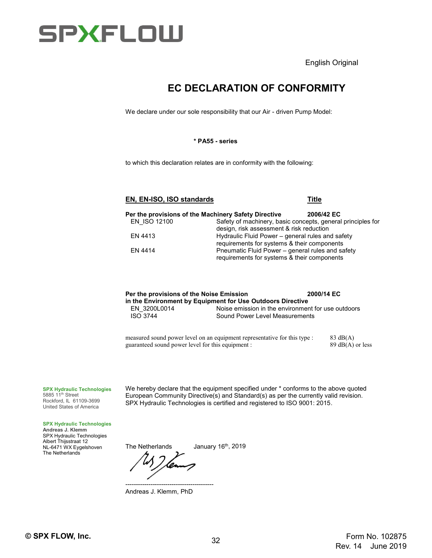English Original

# **EC DECLARATION OF CONFORMITY**

We declare under our sole responsibility that our Air - driven Pump Model:

### **\* PA55 - series**

to which this declaration relates are in conformity with the following:

### **EN, EN-ISO, ISO standards Title**

**Per the provisions of the Machinery Safety Directive 2006/42 EC**<br>EN ISO 12100 Safety of machinery, basic concepts, general Safety of machinery, basic concepts, general principles for design, risk assessment & risk reduction EN 4413 Hydraulic Fluid Power – general rules and safety requirements for systems & their components EN 4414 **Pneumatic Fluid Power – general rules and safety** requirements for systems & their components

| Per the provisions of the Noise Emission                   |                                | 2000/14 EC                                         |  |  |  |
|------------------------------------------------------------|--------------------------------|----------------------------------------------------|--|--|--|
| in the Environment by Equipment for Use Outdoors Directive |                                |                                                    |  |  |  |
| EN 3200L0014                                               |                                | Noise emission in the environment for use outdoors |  |  |  |
| <b>ISO 3744</b>                                            | Sound Power Level Measurements |                                                    |  |  |  |
|                                                            |                                |                                                    |  |  |  |
|                                                            |                                |                                                    |  |  |  |

measured sound power level on an equipment representative for this type : 83 dB(A) guaranteed sound power level for this equipment : 89 dB(A) or less

### **SPX Hydraulic Technologies**

5885 11<sup>th</sup> Street Rockford, IL 61109-3699 United States of America

**SPX Hydraulic Technologies Andreas J. Klemm** SPX Hydraulic Technologies Albert Thijsstraat 12 NL-6471 WX Eygelshoven The Netherlands

We hereby declare that the equipment specified under  $*$  conforms to the above quoted European Community Directive(s) and Standard(s) as per the currently valid revision� SPX Hydraulic Technologies is certified and registered to ISO 9001: 2015.

------------------------------------------ Andreas J. Klemm, PhD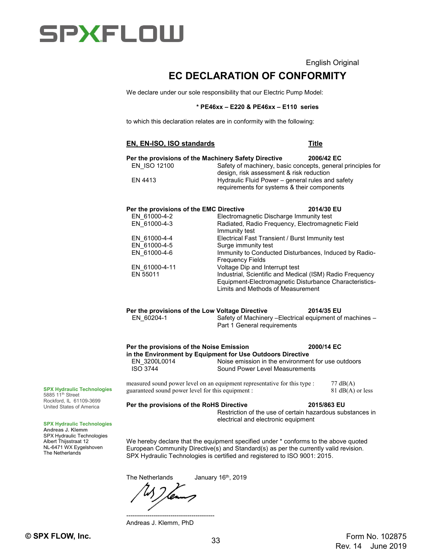### English Original

# **EC DECLARATION OF CONFORMITY**

We declare under our sole responsibility that our Electric Pump Model:

### **\* PE46xx – E220 & PE46xx – E110 series**

to which this declaration relates are in conformity with the following:

### **EN, EN-ISO, ISO standards Title Per the provisions of the Machinery Safety Directive 2006/42 EC<br>EN ISO 12100 Safety of machinery, basic concepts, genera** Safety of machinery, basic concepts, general principles for design, risk assessment & risk reduction EN 4413 Hydraulic Fluid Power – general rules and safety requirements for systems & their components **Per the provisions of the EMC Directive 2014/30 EU**<br>Electromagnetic Discharge Immunity test Electromagnetic Discharge Immunity test EN\_61000-4-3 Radiated, Radio Frequency, Electromagnetic Field Immunity test EN 61000-4-4 Electrical Fast Transient / Burst Immunity test EN\_61000-4-5 Surge immunity test<br>EN\_61000-4-6 1mmunity to Conduct Immunity to Conducted Disturbances, Induced by Radio-Frequency Fields EN\_61000-4-11 Voltage Dip and Interrupt test<br>EN 55011 Industrial, Scientific and Medic Industrial, Scientific and Medical (ISM) Radio Frequency Equipment-Electromagnetic Disturbance Characteristics-Limits and Methods of Measurement **Per the provisions of the Low Voltage Directive 2014/35 EU<br>EN 60204-1 Safety of Machinery – Electrical equipment of** Safety of Machinery –Electrical equipment of machines – Part 1 General requirements **Per the provisions of the Noise Emission 2000/14 EC in the Environment by Equipment for Use Outdoors Directive** EN\_3200L0014 Noise emission in the environment for use outdoors<br>ISO 3744 Sound Power Level Measurements Sound Power Level Measurements measured sound power level on an equipment representative for this type : 77 dB(A) quaranteed sound power level for this equipment : 81 dB(A) or less guaranteed sound power level for this equipment : **Per the provisions of the RoHS Directive 2015/863 EU** Restriction of the use of certain hazardous substances in electrical and electronic equipment We hereby declare that the equipment specified under \* conforms to the above quoted European Community Directive(s) and Standard(s) as per the currently valid revision� SPX Hydraulic Technologies is certified and registered to ISO 9001: 2015.

The Netherlands January 16<sup>th</sup>, 2019

------------------------------------------ Andreas J. Klemm, PhD

**SPX Hydraulic Technologies** 5885 11th Street Rockford, IL 61109-3699 United States of America

#### **SPX Hydraulic Technologies**

**Andreas J. Klemm** SPX Hydraulic Technologies Albert Thijsstraat 12 NL-6471 WX Eygelshoven The Netherlands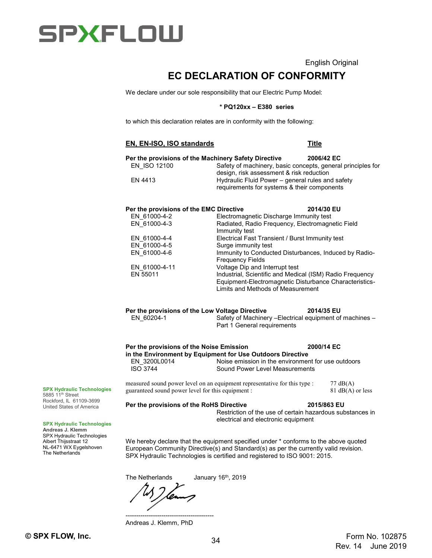

English Original

# **EC DECLARATION OF CONFORMITY**

We declare under our sole responsibility that our Electric Pump Model:

### **\* PQ120xx – E380 series**

to which this declaration relates are in conformity with the following:

### **EN, EN-ISO, ISO standards Title**

| Per the provisions of the Machinery Safety Directive<br>EN ISO 12100<br>FN 4413                                                                      | Safety of machinery, basic concepts, general principles for<br>design, risk assessment & risk reduction<br>Hydraulic Fluid Power - general rules and safety<br>requirements for systems & their components                                                                                                                                                                                                                                                              | 2006/42 EC  |                    |
|------------------------------------------------------------------------------------------------------------------------------------------------------|-------------------------------------------------------------------------------------------------------------------------------------------------------------------------------------------------------------------------------------------------------------------------------------------------------------------------------------------------------------------------------------------------------------------------------------------------------------------------|-------------|--------------------|
| Per the provisions of the EMC Directive<br>EN 61000-4-2<br>EN 61000-4-3<br>EN 61000-4-4<br>EN 61000-4-5<br>EN 61000-4-6<br>EN 61000-4-11<br>EN 55011 | Electromagnetic Discharge Immunity test<br>Radiated, Radio Frequency, Electromagnetic Field<br>Immunity test<br>Electrical Fast Transient / Burst Immunity test<br>Surge immunity test<br>Immunity to Conducted Disturbances, Induced by Radio-<br><b>Frequency Fields</b><br>Voltage Dip and Interrupt test<br>Industrial, Scientific and Medical (ISM) Radio Frequency<br>Equipment-Electromagnetic Disturbance Characteristics-<br>Limits and Methods of Measurement | 2014/30 EU  |                    |
| Per the provisions of the Low Voltage Directive<br>EN 60204-1                                                                                        | Safety of Machinery - Electrical equipment of machines -<br>Part 1 General requirements                                                                                                                                                                                                                                                                                                                                                                                 | 2014/35 EU  |                    |
| Per the provisions of the Noise Emission<br>EN 3200L0014<br><b>ISO 3744</b>                                                                          | in the Environment by Equipment for Use Outdoors Directive<br>Noise emission in the environment for use outdoors<br>Sound Power Level Measurements<br>measured sound power level on an equipment representative for this type :                                                                                                                                                                                                                                         | 2000/14 EC  | $77 \text{ dB}(A)$ |
| guaranteed sound power level for this equipment :<br>Per the provisions of the RoHS Directive                                                        | Restriction of the use of certain hazardous substances in<br>electrical and electronic equipment                                                                                                                                                                                                                                                                                                                                                                        | 2015/863 EU | $81$ dB(A) or less |
|                                                                                                                                                      | We hereby declare that the equipment specified under * conforms to the above quoted<br>European Community Directive(s) and Standard(s) as per the currently valid revision.<br>SPX Hydraulic Technologies is certified and registered to ISO 9001: 2015.                                                                                                                                                                                                                |             |                    |

The Netherlands January 16<sup>th</sup>, 2019

------------------------------------------ Andreas J. Klemm, PhD

**SPX Hydraulic Technologies** 5885 11<sup>th</sup> Street Rockford, IL 61109-3699 United States of America

**SPX Hydraulic Technologies**

**Andreas J. Klemm** SPX Hydraulic Technologies Albert Thijsstraat 12 NL-6471 WX Eygelshoven The Netherlands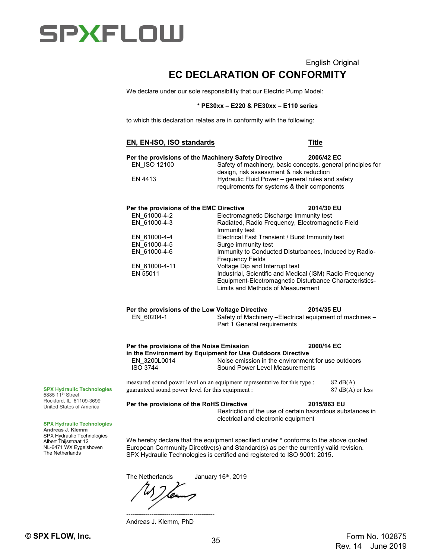

# English Original **EC DECLARATION OF CONFORMITY**

We declare under our sole responsibility that our Electric Pump Model:

### **\* PE30xx – E220 & PE30xx – E110 series**

to which this declaration relates are in conformity with the following:

|                                                                                               |                                                                                                                                                         | <b>Title</b>                           |  |
|-----------------------------------------------------------------------------------------------|---------------------------------------------------------------------------------------------------------------------------------------------------------|----------------------------------------|--|
| Per the provisions of the Machinery Safety Directive<br>EN ISO 12100                          | Safety of machinery, basic concepts, general principles for                                                                                             | 2006/42 EC                             |  |
| EN 4413                                                                                       | design, risk assessment & risk reduction<br>Hydraulic Fluid Power - general rules and safety<br>requirements for systems & their components             |                                        |  |
| Per the provisions of the EMC Directive                                                       |                                                                                                                                                         | 2014/30 EU                             |  |
| EN 61000-4-2<br>EN 61000-4-3                                                                  | Electromagnetic Discharge Immunity test<br>Radiated, Radio Frequency, Electromagnetic Field<br>Immunity test                                            |                                        |  |
| EN 61000-4-4                                                                                  | Electrical Fast Transient / Burst Immunity test                                                                                                         |                                        |  |
| EN 61000-4-5                                                                                  | Surge immunity test                                                                                                                                     |                                        |  |
| EN 61000-4-6                                                                                  | Immunity to Conducted Disturbances, Induced by Radio-<br><b>Frequency Fields</b>                                                                        |                                        |  |
| EN_61000-4-11                                                                                 | Voltage Dip and Interrupt test                                                                                                                          |                                        |  |
| EN 55011                                                                                      | Industrial, Scientific and Medical (ISM) Radio Frequency<br>Equipment-Electromagnetic Disturbance Characteristics-<br>Limits and Methods of Measurement |                                        |  |
| Per the provisions of the Low Voltage Directive<br>EN 60204-1                                 | Safety of Machinery - Electrical equipment of machines -<br>Part 1 General requirements                                                                 | 2014/35 EU                             |  |
| Per the provisions of the Noise Emission                                                      |                                                                                                                                                         | 2000/14 EC                             |  |
| EN 3200L0014<br><b>ISO 3744</b>                                                               | in the Environment by Equipment for Use Outdoors Directive<br>Noise emission in the environment for use outdoors<br>Sound Power Level Measurements      |                                        |  |
|                                                                                               | measured sound power level on an equipment representative for this type :                                                                               | $82 \text{ dB}(A)$<br>87 dB(A) or less |  |
| guaranteed sound power level for this equipment :<br>Per the provisions of the RoHS Directive | Restriction of the use of certain hazardous substances in                                                                                               | 2015/863 EU                            |  |
|                                                                                               | electrical and electronic equipment                                                                                                                     |                                        |  |
|                                                                                               |                                                                                                                                                         |                                        |  |

**SPX Hydraulic Technologies**<br>5885 11<sup>th</sup> Street Rockford, IL 61109-3699 United States of America

#### **SPX Hydraulic Technologi**

**Andreas J. Klemm** SPX Hydraulic Technologies Albert Thijsstraat 12 NL-6471 WX Eygelshoven The Netherlands

> ------------------------------------------ Andreas J. Klemm, PhD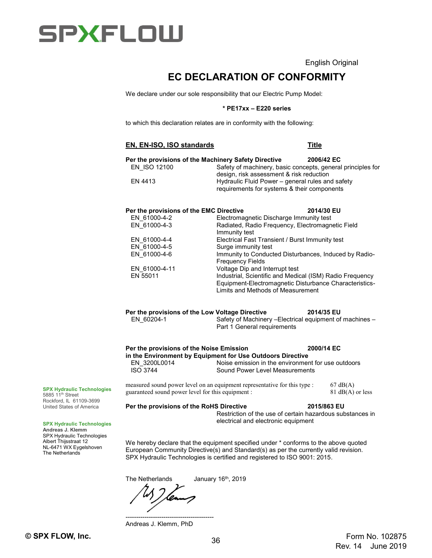English Original

# **EC DECLARATION OF CONFORMITY**

We declare under our sole responsibility that our Electric Pump Model:

### **\* PE17xx – E220 series**

to which this declaration relates are in conformity with the following:

### **EN, EN-ISO, ISO standards Title**

| EN ISO 12100                            | Per the provisions of the Machinery Safety Directive ___________________________<br>Safety of machinery, basic concepts, general principles for<br>design, risk assessment & risk reduction |            |  |
|-----------------------------------------|---------------------------------------------------------------------------------------------------------------------------------------------------------------------------------------------|------------|--|
| EN 4413                                 | Hydraulic Fluid Power – general rules and safety<br>requirements for systems & their components                                                                                             |            |  |
| Per the provisions of the EMC Directive |                                                                                                                                                                                             | 2014/30 EU |  |
| EN 61000-4-2                            | Electromagnetic Discharge Immunity test                                                                                                                                                     |            |  |
| EN 61000-4-3                            | Radiated, Radio Frequency, Electromagnetic Field<br>Immunity test                                                                                                                           |            |  |
| EN 61000-4-4                            | Electrical Fast Transient / Burst Immunity test                                                                                                                                             |            |  |
| EN 61000-4-5                            | Surge immunity test                                                                                                                                                                         |            |  |
| EN 61000-4-6                            | Immunity to Conducted Disturbances, Induced by Radio-<br><b>Frequency Fields</b>                                                                                                            |            |  |
| EN 61000-4-11                           | Voltage Dip and Interrupt test                                                                                                                                                              |            |  |
| EN 55011                                | Industrial, Scientific and Medical (ISM) Radio Frequency<br>Equipment-Electromagnetic Disturbance Characteristics-<br>Limits and Methods of Measurement                                     |            |  |

### **Per the provisions of the Low Voltage Directive 2014/35 EU** EN 60204-1 Safety of Machinery –Electrical equipment of machines –

Part 1 General requirements

### **Per the provisions of the Noise Emission 2000/14 EC in the Environment by Equipment for Use Outdoors Directive** Noise emission in the environment for use outdoors

ISO 3744 Sound Power Level Measurements

measured sound power level on an equipment representative for this type :  $67 \text{ dB}(A)$ guaranteed sound power level for this equipment : 81 dB(A) or less

### **Per the provisions of the RoHS Directive 2015/863 EU**

Restriction of the use of certain hazardous substances in electrical and electronic equipment

We hereby declare that the equipment specified under  $*$  conforms to the above quoted European Community Directive(s) and Standard(s) as per the currently valid revision. SPX Hydraulic Technologies is certified and registered to ISO 9001: 2015.

The Netherlands January 16<sup>th</sup>, 2019

------------------------------------------ Andreas J. Klemm, PhD

**SPX Hydraulic Technologies** 5885 11<sup>th</sup> Street

Rockford, IL 61109-3699 United States of America

#### **SPX Hydraulic Technologies**

**Andreas J. Klemm** SPX Hydraulic Technologies Albert Thijsstraat 12 NL-6471 WX Eygelshoven The Netherlands